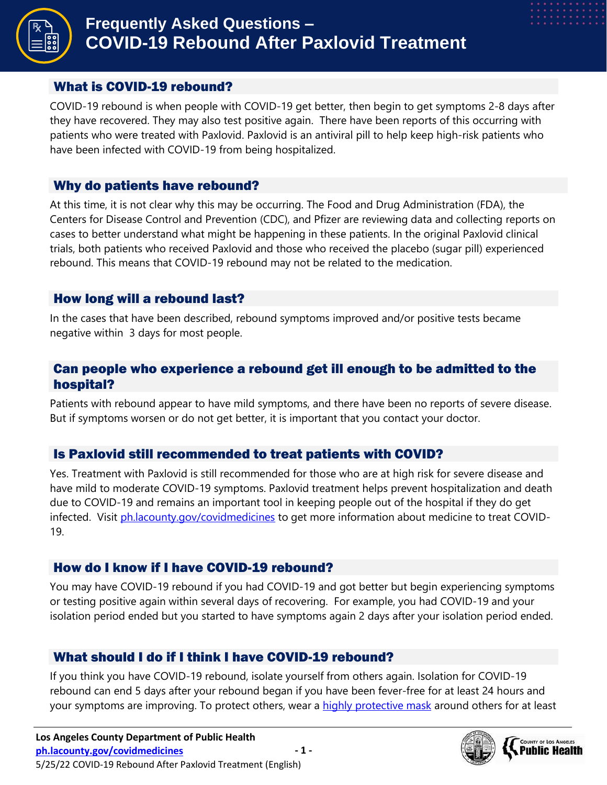

#### What is COVID-19 rebound?

COVID-19 rebound is when people with COVID-19 get better, then begin to get symptoms 2-8 days after they have recovered. They may also test positive again. There have been reports of this occurring with patients who were treated with Paxlovid. Paxlovid is an antiviral pill to help keep high-risk patients who have been infected with COVID-19 from being hospitalized.

#### Why do patients have rebound?

At this time, it is not clear why this may be occurring. The Food and Drug Administration (FDA), the Centers for Disease Control and Prevention (CDC), and Pfizer are reviewing data and collecting reports on cases to better understand what might be happening in these patients. In the original Paxlovid clinical trials, both patients who received Paxlovid and those who received the placebo (sugar pill) experienced rebound. This means that COVID-19 rebound may not be related to the medication.

#### How long will a rebound last?

In the cases that have been described, rebound symptoms improved and/or positive tests became negative within 3 days for most people.

### Can people who experience a rebound get ill enough to be admitted to the hospital?

Patients with rebound appear to have mild symptoms, and there have been no reports of severe disease. But if symptoms worsen or do not get better, it is important that you contact your doctor.

### Is Paxlovid still recommended to treat patients with COVID?

Yes. Treatment with Paxlovid is still recommended for those who are at high risk for severe disease and have mild to moderate COVID-19 symptoms. Paxlovid treatment helps prevent hospitalization and death due to COVID-19 and remains an important tool in keeping people out of the hospital if they do get infected. Visit [ph.lacounty.gov/covidmedicines](http://publichealth.lacounty.gov/acd/ncorona2019/medication/) to get more information about medicine to treat COVID-19.

### How do I know if I have COVID-19 rebound?

You may have COVID-19 rebound if you had COVID-19 and got better but begin experiencing symptoms or testing positive again within several days of recovering. For example, you had COVID-19 and your isolation period ended but you started to have symptoms again 2 days after your isolation period ended.

### What should I do if I think I have COVID-19 rebound?

If you think you have COVID-19 rebound, isolate yourself from others again. Isolation for COVID-19 rebound can end 5 days after your rebound began if you have been fever-free for at least 24 hours and your symptoms are improving. To protect others, wear a [highly protective mask](http://publichealth.lacounty.gov/acd/ncorona2019/masks/) around others for at least